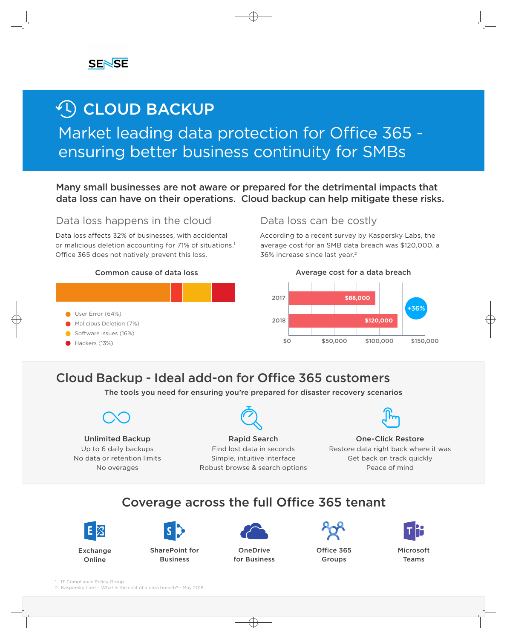# **4 CLOUD BACKUP**

# Market leading data protection for Office 365 ensuring better business continuity for SMBs

Many small businesses are not aware or prepared for the detrimental impacts that data loss can have on their operations. Cloud backup can help mitigate these risks.

## Data loss happens in the cloud Data loss can be costly

Data loss affects 32% of businesses, with accidental or malicious deletion accounting for 71% of situations.<sup>1</sup> Office 365 does not natively prevent this loss.



According to a recent survey by Kaspersky Labs, the average cost for an SMB data breach was \$120,000, a 36% increase since last year.<sup>2</sup>



# **Cloud Backup - Ideal add-on for Office 365 customers**

The tools you need for ensuring you're prepared for disaster recovery scenarios



Unlimited Backup Up to 6 daily backups No data or retention limits No overages



Rapid Search Find lost data in seconds Simple, intuitive interface Robust browse & search options



One-Click Restore Restore data right back where it was Get back on track quickly Peace of mind

## Coverage across the full Office 365 tenant





SharePoint for **Business** 



**OneDrive** for Business



Office 365 Groups



Microsoft Teams

1. IT Compliance Policy Group

2. Kaspersky Labs - What is the cost of a data breach? - May 2018